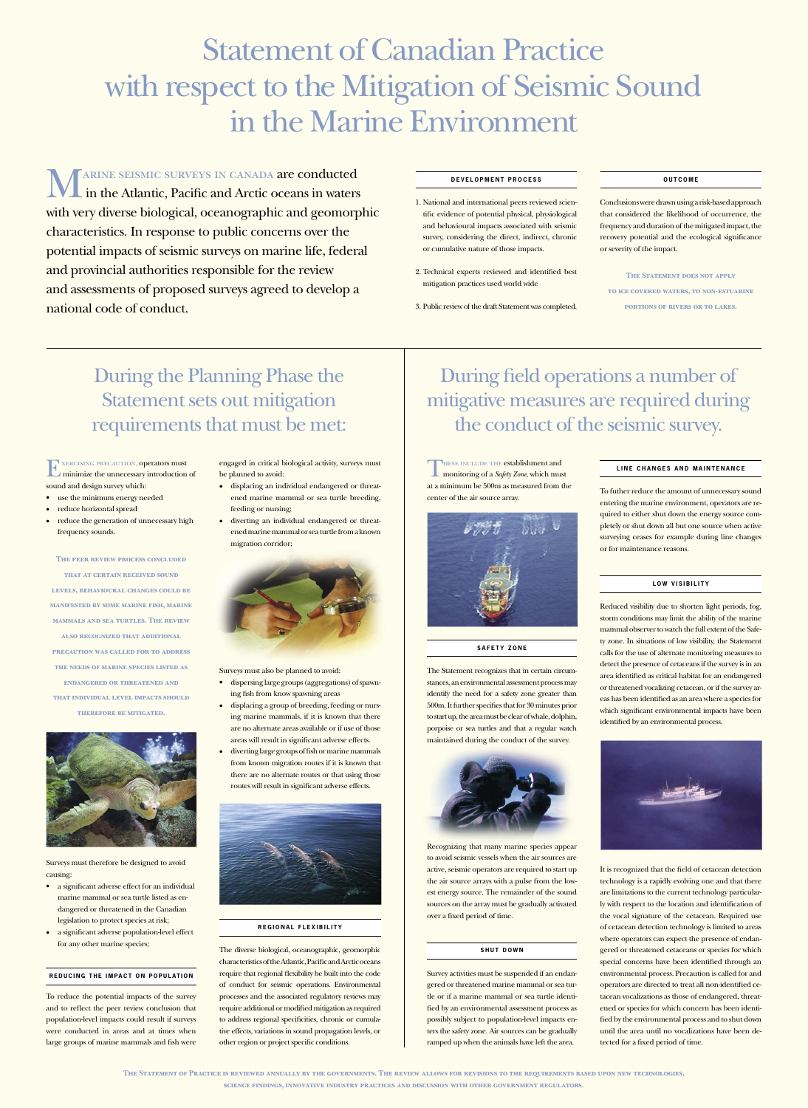# Statement of Canadian Practice with respect to the Mitigation of Seismic Sound in the Marine Environment

MARINE SEISMIC SURVEYS IN CANADA are conducted<br>in the Atlantic, Pacific and Arctic oceans in waters in the Atlantic, Pacific and Arctic oceans in waters with very diverse biological, oceanographic and geomorphic characteristics. In response to public concerns over the potential impacts of seismic surveys on marine life, federal and provincial authorities responsible for the review and assessments of proposed surveys agreed to develop a national code of conduct.

EXERCISING PRECAUTION, OPERATORS must<br>minimize the unnecessary introduction minimize the unnecessary introduction of sound and design survey which:

- use the minimum energy needed
- reduce horizontal spread
- reduce the generation of unnecessary high frequency sounds.

During the Planning Phase the Statement sets out mitigation requirements that must be met:

**The peer review process concluded** 

**that at certain received sound** 

engaged in critical biological activity, surveys must be planned to avoid:

**levels, behavioural changes could be manifested by some marine fish, marine mammals and sea turtles. The review also recognized that additional precaution was called for to address the needs of marine species listed as endangered or threatened and that individual level impacts should therefore be mitigated.**



Surveys must therefore be designed to avoid



causing:

- a significant adverse effect for an individual marine mammal or sea turtle listed as endangered or threatened in the Canadian legislation to protect species at risk;
- a significant adverse population-level effect for any other marine species;

**REDUCING THE IMPACT ON POPULATION** 

To reduce the potential impacts of the survey and to reflect the peer review conclusion that population-level impacts could result if surveys were conducted in areas and at times when large groups of marine mammals and fish were

THESE INCLUDE THE establishment and<br>monitoring of a Safety Zone, which mus monitoring of a *Safety Zone*, which must at a minimum be 500m as measured from the center of the air source array.



# LINE CHANGES AND MAINTENANCE

The Statement recognizes that in certain circumstances, an environmental assessment process may identify the need for a safety zone greater than 500m. It further specifies that for 30 minutes prior to start up, the area must be clear of whale, dolphin, porpoise or sea turtles and that a regular watch maintained during the conduct of the survey.

- displacing an individual endangered or threatened marine mammal or sea turtle breeding, feeding or nursing;
- diverting an individual endangered or threatened marine mammal or sea turtle from a known migration corridor;

Surveys must also be planned to avoid:

- dispersing large groups (aggregations) of spawning fish from know spawning areas
- displacing a group of breeding, feeding or nursing marine mammals, if it is known that there are no alternate areas available or if use of those areas will result in significant adverse effects.
- diverting large groups of fish or marine mammals from known migration routes if it is known that there are no alternate routes or that using those routes will result in significant adverse effects.



# **SAFETY ZONE**

## **R E G I O N A L F L E X I B I L I T Y**

The diverse biological, oceanographic, geomorphic characteristics of the Atlantic, Pacific and Arctic oceans require that regional flexibility be built into the code of conduct for seismic operations. Environmental processes and the associated regulatory reviews may require additional or modified mitigation as required to address regional specificities, chronic or cumulative effects, variations in sound propagation levels, or other region or project specific conditions.

During field operations a number of mitigative measures are required during the conduct of the seismic survey.



Recognizing that many marine species appear to avoid seismic vessels when the air sources are

## LOW VISIBILITY

active, seismic operators are required to start up the air source arrays with a pulse from the lowest energy source. The remainder of the sound sources on the array must be gradually activated over a fixed period of time.

## **SHUT DOWN**

Survey activities must be suspended if an endangered or threatened marine mammal or sea turtle or if a marine mammal or sea turtle identified by an environmental assessment process as possibly subject to population-level impacts enters the safety zone. Air sources can be gradually ramped up when the animals have left the area.

To futher reduce the amount of unnecessary sound entering the marine environment, operators are required to either shut down the energy source completely or shut down all but one source when active surveying ceases for example during line changes or for maintenance reasons.

Reduced visibility due to shorten light periods, fog, storm conditions may limit the ability of the marine mammal observer to watch the full extent of the Safety zone. In situations of low visibility, the Statement calls for the use of alternate monitoring measures to detect the presence of cetaceans if the survey is in an area identified as critical habitat for an endangered or threatened vocalizing cetacean, or if the survey areas has been identified as an area where a species for which significant environmental impacts have been identified by an environmental process.



It is recognized that the field of cetacean detection technology is a rapidly evolving one and that there are limitations to the current technology particularly with respect to the location and identification of the vocal signature of the cetacean. Required use of cetacean detection technology is limited to areas where operators can expect the presence of endangered or threatened cetaceans or species for which special concerns have been identified through an environmental process. Precaution is called for and operators are directed to treat all non-identified cetacean vocalizations as those of endangered, threatened or species for which concern has been identified by the environmental process and to shut down until the area until no vocalizations have been detected for a fixed period of time.

## **D E V E L O P M E N T P R O C E S S**

1. National and international peers reviewed scientific evidence of potential physical, physiological and behavioural impacts associated with seismic survey, considering the direct, indirect, chronic or cumulative nature of those impacts.

2. Technical experts reviewed and identified best mitigation practices used world wide

3. Public review of the draft Statement was completed.

## **O U T C O M E**

Conclusions were drawn using a risk-based approach that considered the likelihood of occurrence, the frequency and duration of the mitigated impact, the recovery potential and the ecological significance or severity of the impact.

## **THE STATEMENT DOES NOT APPLY**

**to ice covered waters, to non-estuarine** 

**portions of rivers or to lakes.**

**The Statement of Practice is reviewed annually by the governments. The review allows for revisions to the requirements based upon new technologies, science findings, innovative industry practices and discussion with other government regulators.**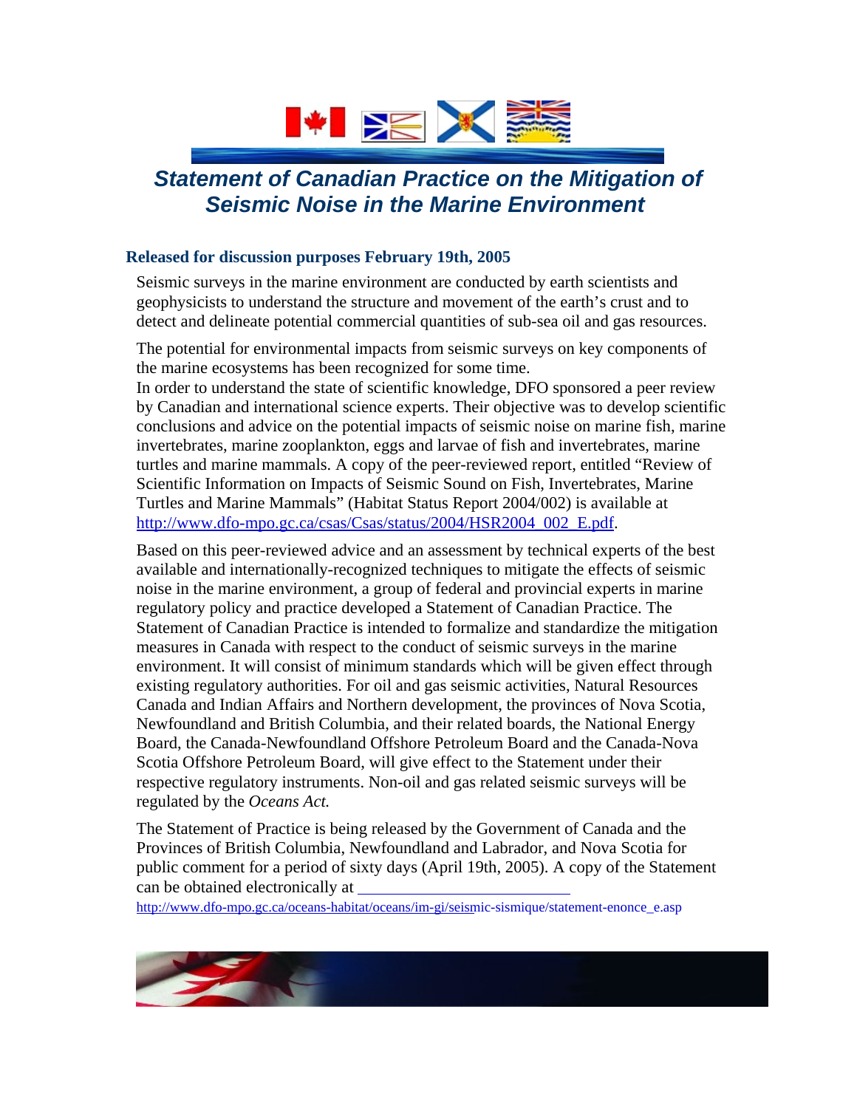

## *Statement of Canadian Practice on the Mitigation of Seismic Noise in the Marine Environment*

#### **Released for discussion purposes February 19th, 2005**

Seismic surveys in the marine environment are conducted by earth scientists and geophysicists to understand the structure and movement of the earth's crust and to detect and delineate potential commercial quantities of sub-sea oil and gas resources.

The potential for environmental impacts from seismic surveys on key components of the marine ecosystems has been recognized for some time.

In order to understand the state of scientific knowledge, DFO sponsored a peer review by Canadian and international science experts. Their objective was to develop scientific conclusions and advice on the potential impacts of seismic noise on marine fish, marine invertebrates, marine zooplankton, eggs and larvae of fish and invertebrates, marine turtles and marine mammals. A copy of the peer-reviewed report, entitled "Review of Scientific Information on Impacts of Seismic Sound on Fish, Invertebrates, Marine Turtles and Marine Mammals" (Habitat Status Report 2004/002) is available at [http://www.dfo-mpo.gc.ca/csas/Csas/status/2004/HSR2004\\_002\\_E.pdf.](http://www.dfo-mpo.gc.ca/csas/Csas/status/2004/HSR2004_002_E.pdf)

Based on this peer-reviewed advice and an assessment by technical experts of the best available and internationally-recognized techniques to mitigate the effects of seismic noise in the marine environment, a group of federal and provincial experts in marine regulatory policy and practice developed a Statement of Canadian Practice. The Statement of Canadian Practice is intended to formalize and standardize the mitigation measures in Canada with respect to the conduct of seismic surveys in the marine environment. It will consist of minimum standards which will be given effect through existing regulatory authorities. For oil and gas seismic activities, Natural Resources Canada and Indian Affairs and Northern development, the provinces of Nova Scotia, Newfoundland and British Columbia, and their related boards, the National Energy Board, the Canada-Newfoundland Offshore Petroleum Board and the Canada-Nova Scotia Offshore Petroleum Board, will give effect to the Statement under their respective regulatory instruments. Non-oil and gas related seismic surveys will be regulated by the *Oceans Act.*

The Statement of Practice is being released by the Government of Canada and the Provinces of British Columbia, Newfoundland and Labrador, and Nova Scotia for public comment for a period of sixty days (April 19th, 2005). A copy of the Statement can be obtained electronically at

[http://www.dfo-mpo.gc.ca/oceans-habitat/oceans/im-gi/seismic-sismique/statement-enonce\\_e.asp](http://www.dfo-mpo.gc.ca/oceans-habitat/oceans/im-gi/seismic-sismique/statement-enonce_e.asp)

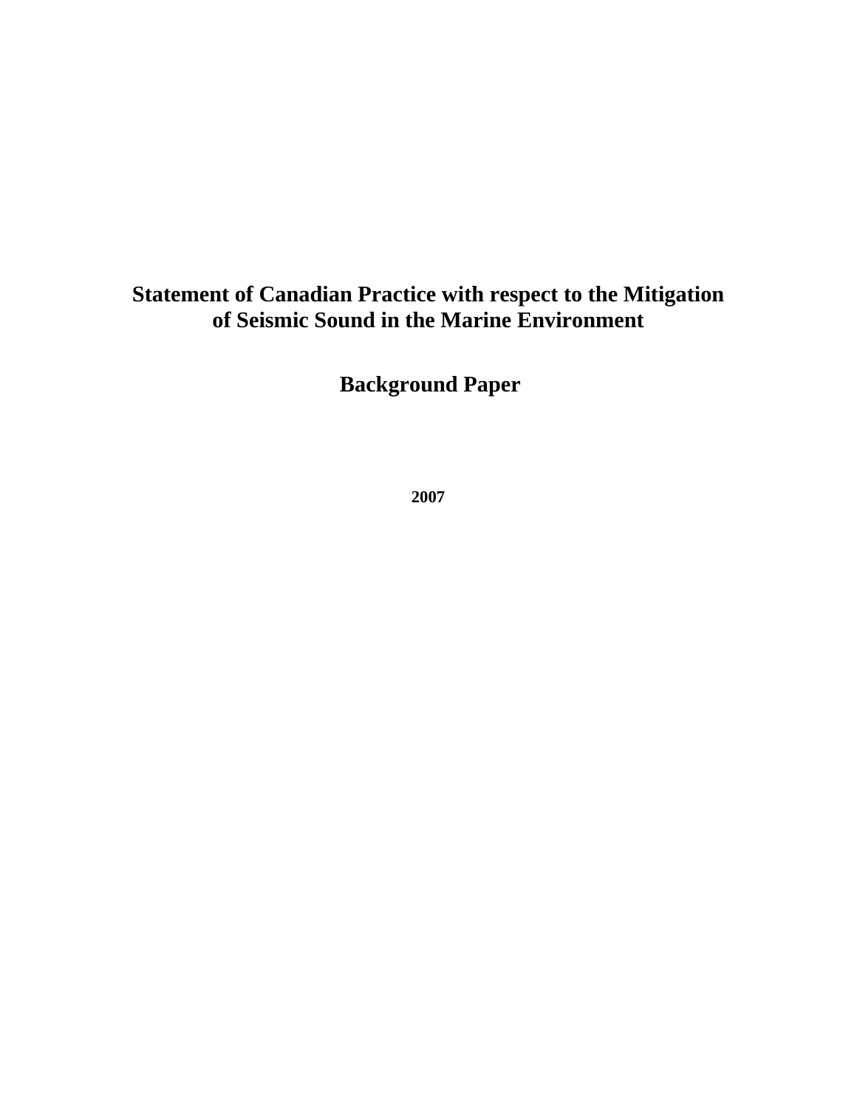## **Statement of Canadian Practice with respect to the Mitigation of Seismic Sound in the Marine Environment**

**Background Paper** 

**2007**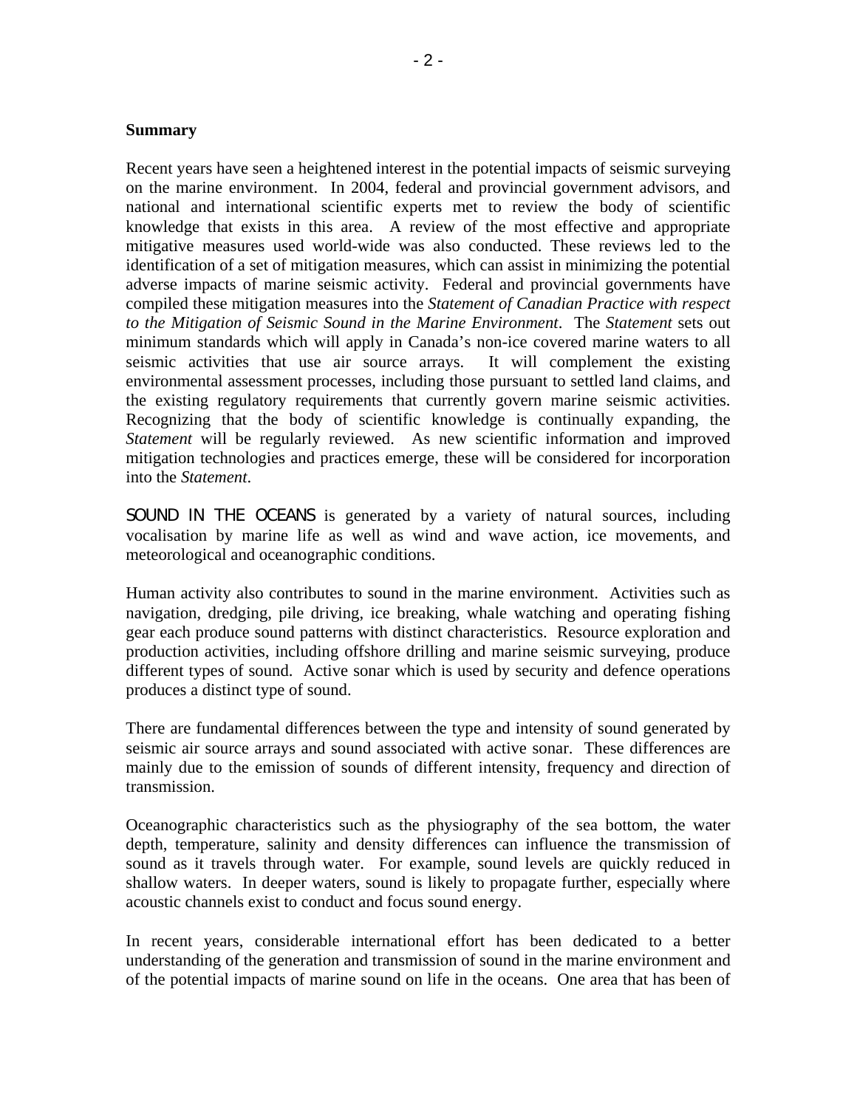#### **Summary**

Recent years have seen a heightened interest in the potential impacts of seismic surveying on the marine environment. In 2004, federal and provincial government advisors, and national and international scientific experts met to review the body of scientific knowledge that exists in this area. A review of the most effective and appropriate mitigative measures used world-wide was also conducted. These reviews led to the identification of a set of mitigation measures, which can assist in minimizing the potential adverse impacts of marine seismic activity. Federal and provincial governments have compiled these mitigation measures into the *Statement of Canadian Practice with respect to the Mitigation of Seismic Sound in the Marine Environment*. The *Statement* sets out minimum standards which will apply in Canada's non-ice covered marine waters to all seismic activities that use air source arrays. It will complement the existing environmental assessment processes, including those pursuant to settled land claims, and the existing regulatory requirements that currently govern marine seismic activities. Recognizing that the body of scientific knowledge is continually expanding, the *Statement* will be regularly reviewed. As new scientific information and improved mitigation technologies and practices emerge, these will be considered for incorporation into the *Statement*.

SOUND IN THE OCEANS is generated by a variety of natural sources, including vocalisation by marine life as well as wind and wave action, ice movements, and meteorological and oceanographic conditions.

Human activity also contributes to sound in the marine environment. Activities such as navigation, dredging, pile driving, ice breaking, whale watching and operating fishing gear each produce sound patterns with distinct characteristics. Resource exploration and production activities, including offshore drilling and marine seismic surveying, produce different types of sound. Active sonar which is used by security and defence operations produces a distinct type of sound.

There are fundamental differences between the type and intensity of sound generated by seismic air source arrays and sound associated with active sonar. These differences are mainly due to the emission of sounds of different intensity, frequency and direction of transmission.

Oceanographic characteristics such as the physiography of the sea bottom, the water depth, temperature, salinity and density differences can influence the transmission of sound as it travels through water. For example, sound levels are quickly reduced in shallow waters. In deeper waters, sound is likely to propagate further, especially where acoustic channels exist to conduct and focus sound energy.

In recent years, considerable international effort has been dedicated to a better understanding of the generation and transmission of sound in the marine environment and of the potential impacts of marine sound on life in the oceans. One area that has been of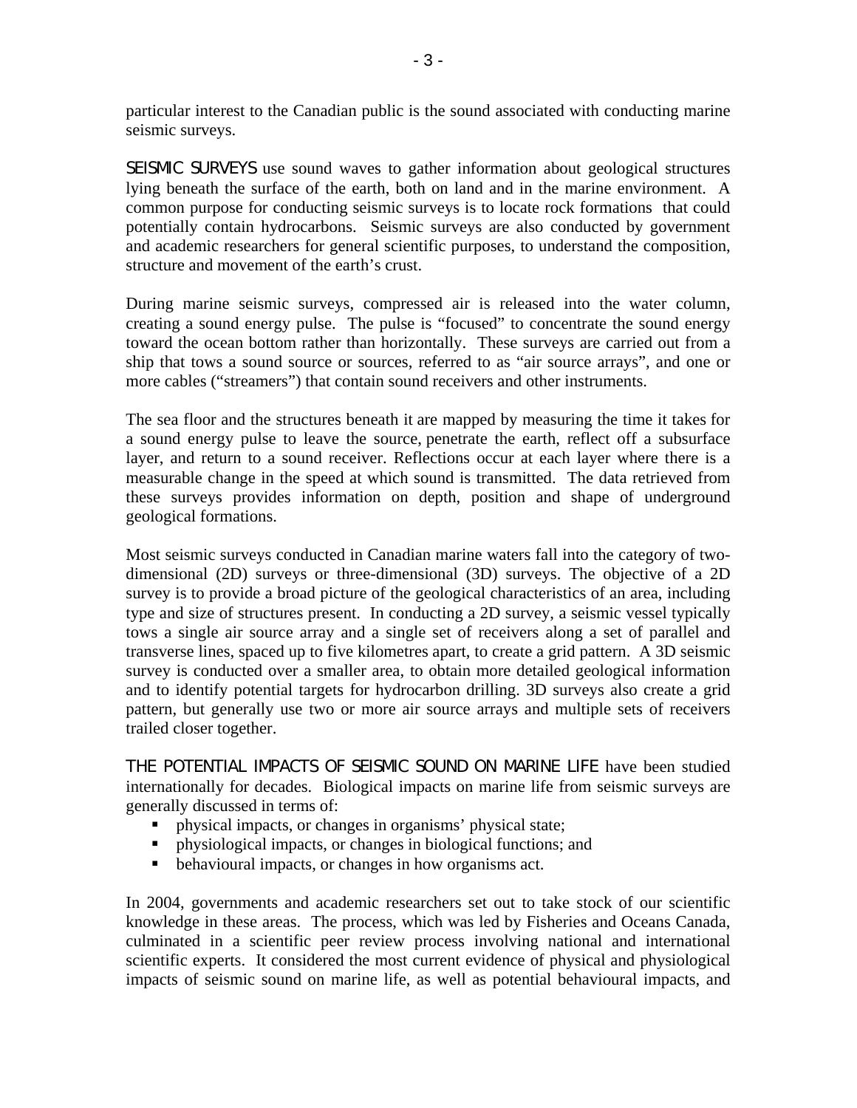particular interest to the Canadian public is the sound associated with conducting marine seismic surveys.

SEISMIC SURVEYS use sound waves to gather information about geological structures lying beneath the surface of the earth, both on land and in the marine environment. A common purpose for conducting seismic surveys is to locate rock formations that could potentially contain hydrocarbons. Seismic surveys are also conducted by government and academic researchers for general scientific purposes, to understand the composition, structure and movement of the earth's crust.

During marine seismic surveys, compressed air is released into the water column, creating a sound energy pulse. The pulse is "focused" to concentrate the sound energy toward the ocean bottom rather than horizontally. These surveys are carried out from a ship that tows a sound source or sources, referred to as "air source arrays", and one or more cables ("streamers") that contain sound receivers and other instruments.

The sea floor and the structures beneath it are mapped by measuring the time it takes for a sound energy pulse to leave the source, penetrate the earth, reflect off a subsurface layer, and return to a sound receiver. Reflections occur at each layer where there is a measurable change in the speed at which sound is transmitted. The data retrieved from these surveys provides information on depth, position and shape of underground geological formations.

Most seismic surveys conducted in Canadian marine waters fall into the category of twodimensional (2D) surveys or three-dimensional (3D) surveys. The objective of a 2D survey is to provide a broad picture of the geological characteristics of an area, including type and size of structures present. In conducting a 2D survey, a seismic vessel typically tows a single air source array and a single set of receivers along a set of parallel and transverse lines, spaced up to five kilometres apart, to create a grid pattern. A 3D seismic survey is conducted over a smaller area, to obtain more detailed geological information and to identify potential targets for hydrocarbon drilling. 3D surveys also create a grid pattern, but generally use two or more air source arrays and multiple sets of receivers trailed closer together.

THE POTENTIAL IMPACTS OF SEISMIC SOUND ON MARINE LIFE have been studied internationally for decades. Biological impacts on marine life from seismic surveys are generally discussed in terms of:

- physical impacts, or changes in organisms' physical state;
- physiological impacts, or changes in biological functions; and
- behavioural impacts, or changes in how organisms act.

In 2004, governments and academic researchers set out to take stock of our scientific knowledge in these areas. The process, which was led by Fisheries and Oceans Canada, culminated in a scientific peer review process involving national and international scientific experts. It considered the most current evidence of physical and physiological impacts of seismic sound on marine life, as well as potential behavioural impacts, and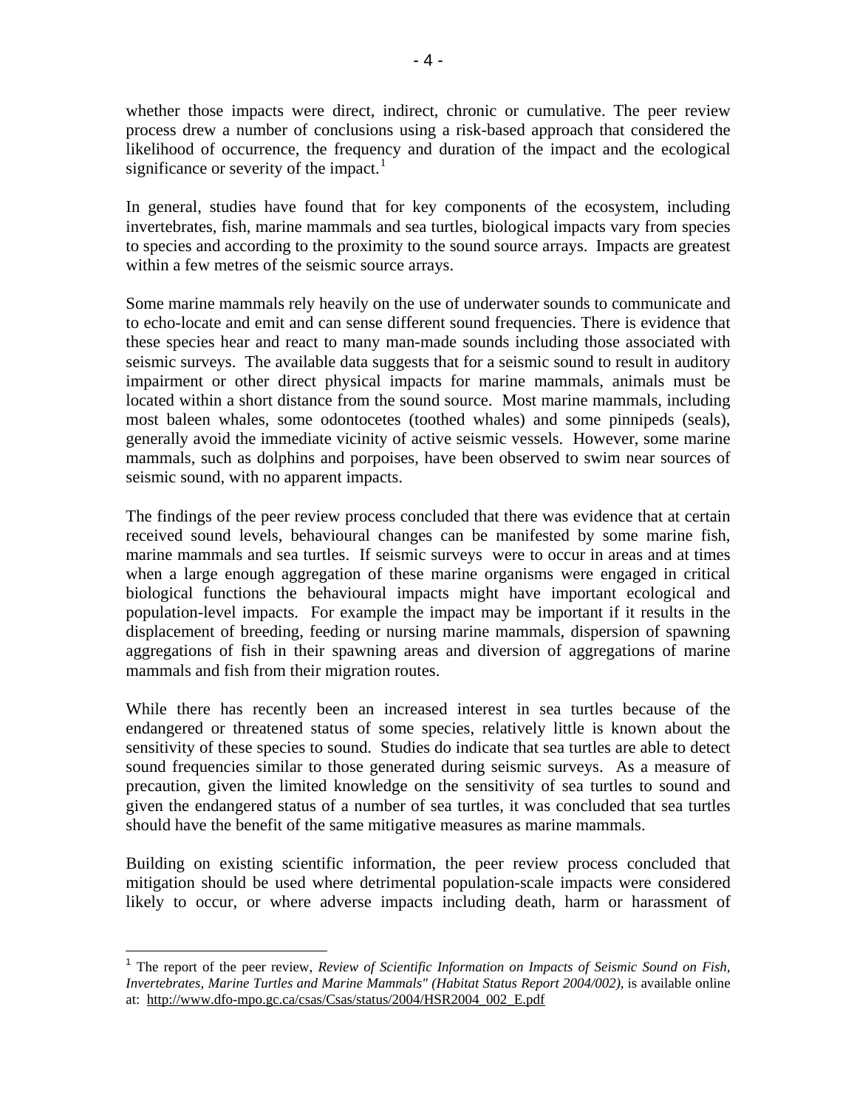whether those impacts were direct, indirect, chronic or cumulative. The peer review process drew a number of conclusions using a risk-based approach that considered the likelihood of occurrence, the frequency and duration of the impact and the ecological significance or severity of the impact.<sup>[1](#page-5-0)</sup>

In general, studies have found that for key components of the ecosystem, including invertebrates, fish, marine mammals and sea turtles, biological impacts vary from species to species and according to the proximity to the sound source arrays.Impacts are greatest within a few metres of the seismic source arrays.

Some marine mammals rely heavily on the use of underwater sounds to communicate and to echo-locate and emit and can sense different sound frequencies. There is evidence that these species hear and react to many man-made sounds including those associated with seismic surveys. The available data suggests that for a seismic sound to result in auditory impairment or other direct physical impacts for marine mammals, animals must be located within a short distance from the sound source. Most marine mammals, including most baleen whales, some odontocetes (toothed whales) and some pinnipeds (seals), generally avoid the immediate vicinity of active seismic vessels. However, some marine mammals, such as dolphins and porpoises, have been observed to swim near sources of seismic sound, with no apparent impacts.

The findings of the peer review process concluded that there was evidence that at certain received sound levels, behavioural changes can be manifested by some marine fish, marine mammals and sea turtles. If seismic surveys were to occur in areas and at times when a large enough aggregation of these marine organisms were engaged in critical biological functions the behavioural impacts might have important ecological and population-level impacts. For example the impact may be important if it results in the displacement of breeding, feeding or nursing marine mammals, dispersion of spawning aggregations of fish in their spawning areas and diversion of aggregations of marine mammals and fish from their migration routes.

While there has recently been an increased interest in sea turtles because of the endangered or threatened status of some species, relatively little is known about the sensitivity of these species to sound. Studies do indicate that sea turtles are able to detect sound frequencies similar to those generated during seismic surveys. As a measure of precaution, given the limited knowledge on the sensitivity of sea turtles to sound and given the endangered status of a number of sea turtles, it was concluded that sea turtles should have the benefit of the same mitigative measures as marine mammals.

Building on existing scientific information, the peer review process concluded that mitigation should be used where detrimental population-scale impacts were considered likely to occur, or where adverse impacts including death, harm or harassment of

 $\overline{a}$ 

<span id="page-5-0"></span><sup>1</sup> The report of the peer review, *Review of Scientific Information on Impacts of Seismic Sound on Fish, Invertebrates, Marine Turtles and Marine Mammals" (Habitat Status Report 2004/002)*, is available online at: [http://www.dfo-mpo.gc.ca/csas/Csas/status/2004/HSR2004\\_002\\_E.pdf](http://www.dfo-mpo.gc.ca/csas/Csas/status/2004/HSR2004_002_E.pdf)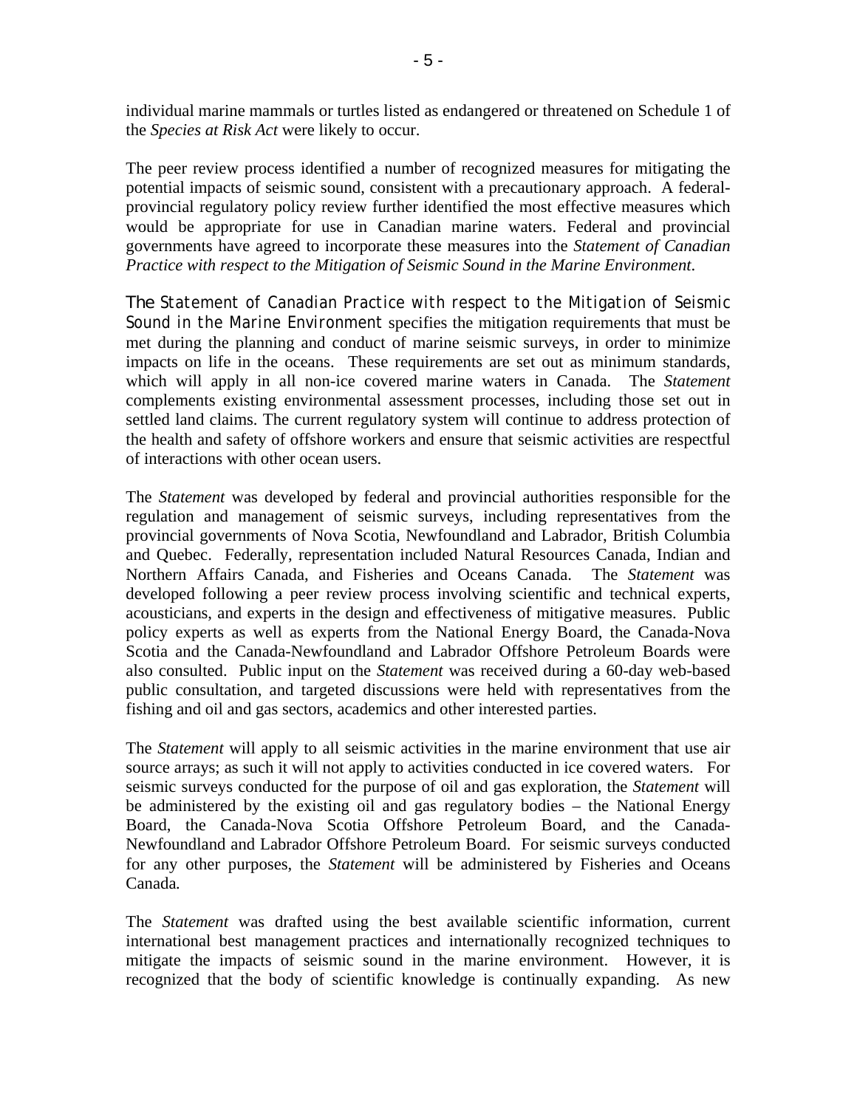individual marine mammals or turtles listed as endangered or threatened on Schedule 1 of the *Species at Risk Act* were likely to occur.

The peer review process identified a number of recognized measures for mitigating the potential impacts of seismic sound, consistent with a precautionary approach. A federalprovincial regulatory policy review further identified the most effective measures which would be appropriate for use in Canadian marine waters. Federal and provincial governments have agreed to incorporate these measures into the *Statement of Canadian Practice with respect to the Mitigation of Seismic Sound in the Marine Environment*.

The *Statement of Canadian Practice with respect to the Mitigation of Seismic Sound in the Marine Environment* specifies the mitigation requirements that must be met during the planning and conduct of marine seismic surveys, in order to minimize impacts on life in the oceans. These requirements are set out as minimum standards, which will apply in all non-ice covered marine waters in Canada. The *Statement*  complements existing environmental assessment processes, including those set out in settled land claims. The current regulatory system will continue to address protection of the health and safety of offshore workers and ensure that seismic activities are respectful of interactions with other ocean users.

The *Statement* was developed by federal and provincial authorities responsible for the regulation and management of seismic surveys, including representatives from the provincial governments of Nova Scotia, Newfoundland and Labrador, British Columbia and Quebec. Federally, representation included Natural Resources Canada, Indian and Northern Affairs Canada, and Fisheries and Oceans Canada. The *Statement* was developed following a peer review process involving scientific and technical experts, acousticians, and experts in the design and effectiveness of mitigative measures. Public policy experts as well as experts from the National Energy Board, the Canada-Nova Scotia and the Canada-Newfoundland and Labrador Offshore Petroleum Boards were also consulted. Public input on the *Statement* was received during a 60-day web-based public consultation, and targeted discussions were held with representatives from the fishing and oil and gas sectors, academics and other interested parties.

The *Statement* will apply to all seismic activities in the marine environment that use air source arrays; as such it will not apply to activities conducted in ice covered waters. For seismic surveys conducted for the purpose of oil and gas exploration, the *Statement* will be administered by the existing oil and gas regulatory bodies – the National Energy Board, the Canada-Nova Scotia Offshore Petroleum Board, and the Canada-Newfoundland and Labrador Offshore Petroleum Board. For seismic surveys conducted for any other purposes, the *Statement* will be administered by Fisheries and Oceans Canada*.*

The *Statement* was drafted using the best available scientific information, current international best management practices and internationally recognized techniques to mitigate the impacts of seismic sound in the marine environment. However, it is recognized that the body of scientific knowledge is continually expanding. As new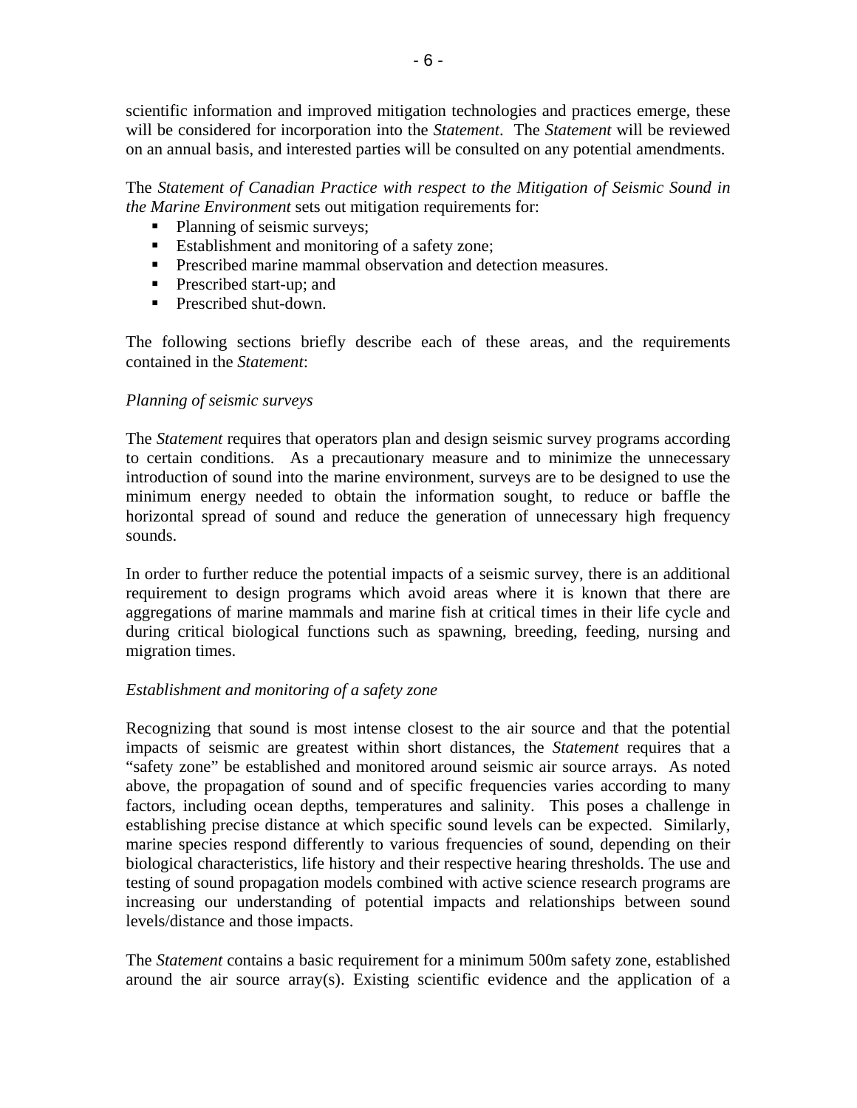scientific information and improved mitigation technologies and practices emerge, these will be considered for incorporation into the *Statement*. The *Statement* will be reviewed on an annual basis, and interested parties will be consulted on any potential amendments.

The *Statement of Canadian Practice with respect to the Mitigation of Seismic Sound in the Marine Environment* sets out mitigation requirements for:

- Planning of seismic surveys;
- Establishment and monitoring of a safety zone;
- **Prescribed marine mammal observation and detection measures.**
- **Prescribed start-up; and**
- **Prescribed shut-down.**

The following sections briefly describe each of these areas, and the requirements contained in the *Statement*:

#### *Planning of seismic surveys*

The *Statement* requires that operators plan and design seismic survey programs according to certain conditions. As a precautionary measure and to minimize the unnecessary introduction of sound into the marine environment, surveys are to be designed to use the minimum energy needed to obtain the information sought, to reduce or baffle the horizontal spread of sound and reduce the generation of unnecessary high frequency sounds.

In order to further reduce the potential impacts of a seismic survey, there is an additional requirement to design programs which avoid areas where it is known that there are aggregations of marine mammals and marine fish at critical times in their life cycle and during critical biological functions such as spawning, breeding, feeding, nursing and migration times.

#### *Establishment and monitoring of a safety zone*

Recognizing that sound is most intense closest to the air source and that the potential impacts of seismic are greatest within short distances, the *Statement* requires that a "safety zone" be established and monitored around seismic air source arrays. As noted above, the propagation of sound and of specific frequencies varies according to many factors, including ocean depths, temperatures and salinity. This poses a challenge in establishing precise distance at which specific sound levels can be expected. Similarly, marine species respond differently to various frequencies of sound, depending on their biological characteristics, life history and their respective hearing thresholds. The use and testing of sound propagation models combined with active science research programs are increasing our understanding of potential impacts and relationships between sound levels/distance and those impacts.

The *Statement* contains a basic requirement for a minimum 500m safety zone, established around the air source array(s). Existing scientific evidence and the application of a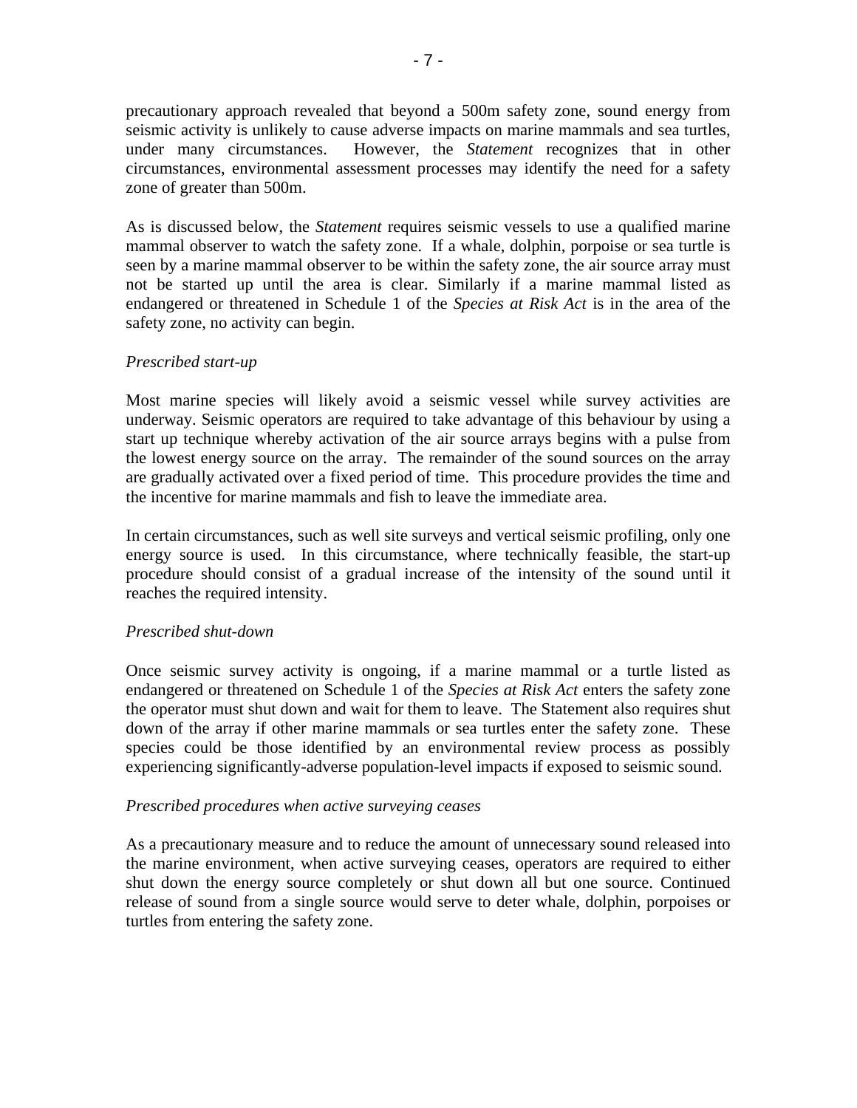precautionary approach revealed that beyond a 500m safety zone, sound energy from seismic activity is unlikely to cause adverse impacts on marine mammals and sea turtles, under many circumstances. However, the *Statement* recognizes that in other circumstances, environmental assessment processes may identify the need for a safety zone of greater than 500m.

As is discussed below, the *Statement* requires seismic vessels to use a qualified marine mammal observer to watch the safety zone. If a whale, dolphin, porpoise or sea turtle is seen by a marine mammal observer to be within the safety zone, the air source array must not be started up until the area is clear. Similarly if a marine mammal listed as endangered or threatened in Schedule 1 of the *Species at Risk Act* is in the area of the safety zone, no activity can begin.

#### *Prescribed start-up*

Most marine species will likely avoid a seismic vessel while survey activities are underway. Seismic operators are required to take advantage of this behaviour by using a start up technique whereby activation of the air source arrays begins with a pulse from the lowest energy source on the array. The remainder of the sound sources on the array are gradually activated over a fixed period of time. This procedure provides the time and the incentive for marine mammals and fish to leave the immediate area.

In certain circumstances, such as well site surveys and vertical seismic profiling, only one energy source is used. In this circumstance, where technically feasible, the start-up procedure should consist of a gradual increase of the intensity of the sound until it reaches the required intensity.

#### *Prescribed shut-down*

Once seismic survey activity is ongoing, if a marine mammal or a turtle listed as endangered or threatened on Schedule 1 of the *Species at Risk Act* enters the safety zone the operator must shut down and wait for them to leave. The Statement also requires shut down of the array if other marine mammals or sea turtles enter the safety zone. These species could be those identified by an environmental review process as possibly experiencing significantly-adverse population-level impacts if exposed to seismic sound.

#### *Prescribed procedures when active surveying ceases*

As a precautionary measure and to reduce the amount of unnecessary sound released into the marine environment, when active surveying ceases, operators are required to either shut down the energy source completely or shut down all but one source. Continued release of sound from a single source would serve to deter whale, dolphin, porpoises or turtles from entering the safety zone.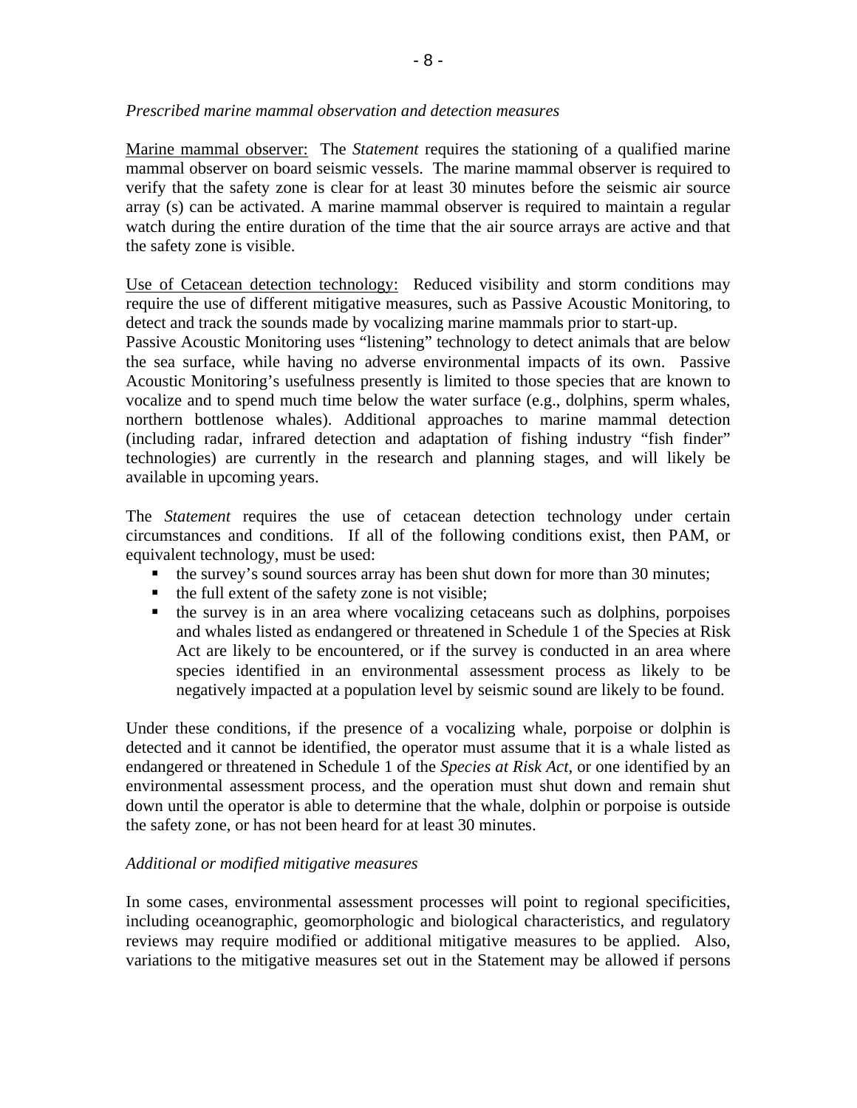Marine mammal observer: The *Statement* requires the stationing of a qualified marine mammal observer on board seismic vessels. The marine mammal observer is required to verify that the safety zone is clear for at least 30 minutes before the seismic air source array (s) can be activated. A marine mammal observer is required to maintain a regular watch during the entire duration of the time that the air source arrays are active and that the safety zone is visible.

Use of Cetacean detection technology: Reduced visibility and storm conditions may require the use of different mitigative measures, such as Passive Acoustic Monitoring, to detect and track the sounds made by vocalizing marine mammals prior to start-up.

Passive Acoustic Monitoring uses "listening" technology to detect animals that are below the sea surface, while having no adverse environmental impacts of its own. Passive Acoustic Monitoring's usefulness presently is limited to those species that are known to vocalize and to spend much time below the water surface (e.g., dolphins, sperm whales, northern bottlenose whales). Additional approaches to marine mammal detection (including radar, infrared detection and adaptation of fishing industry "fish finder" technologies) are currently in the research and planning stages, and will likely be available in upcoming years.

The *Statement* requires the use of cetacean detection technology under certain circumstances and conditions. If all of the following conditions exist, then PAM, or equivalent technology, must be used:

- the survey's sound sources array has been shut down for more than 30 minutes;
- $\blacksquare$  the full extent of the safety zone is not visible;
- $\blacksquare$  the survey is in an area where vocalizing cetaceans such as dolphins, porpoises and whales listed as endangered or threatened in Schedule 1 of the Species at Risk Act are likely to be encountered, or if the survey is conducted in an area where species identified in an environmental assessment process as likely to be negatively impacted at a population level by seismic sound are likely to be found.

Under these conditions, if the presence of a vocalizing whale, porpoise or dolphin is detected and it cannot be identified, the operator must assume that it is a whale listed as endangered or threatened in Schedule 1 of the *Species at Risk Act*, or one identified by an environmental assessment process, and the operation must shut down and remain shut down until the operator is able to determine that the whale, dolphin or porpoise is outside the safety zone, or has not been heard for at least 30 minutes.

#### *Additional or modified mitigative measures*

In some cases, environmental assessment processes will point to regional specificities, including oceanographic, geomorphologic and biological characteristics, and regulatory reviews may require modified or additional mitigative measures to be applied. Also, variations to the mitigative measures set out in the Statement may be allowed if persons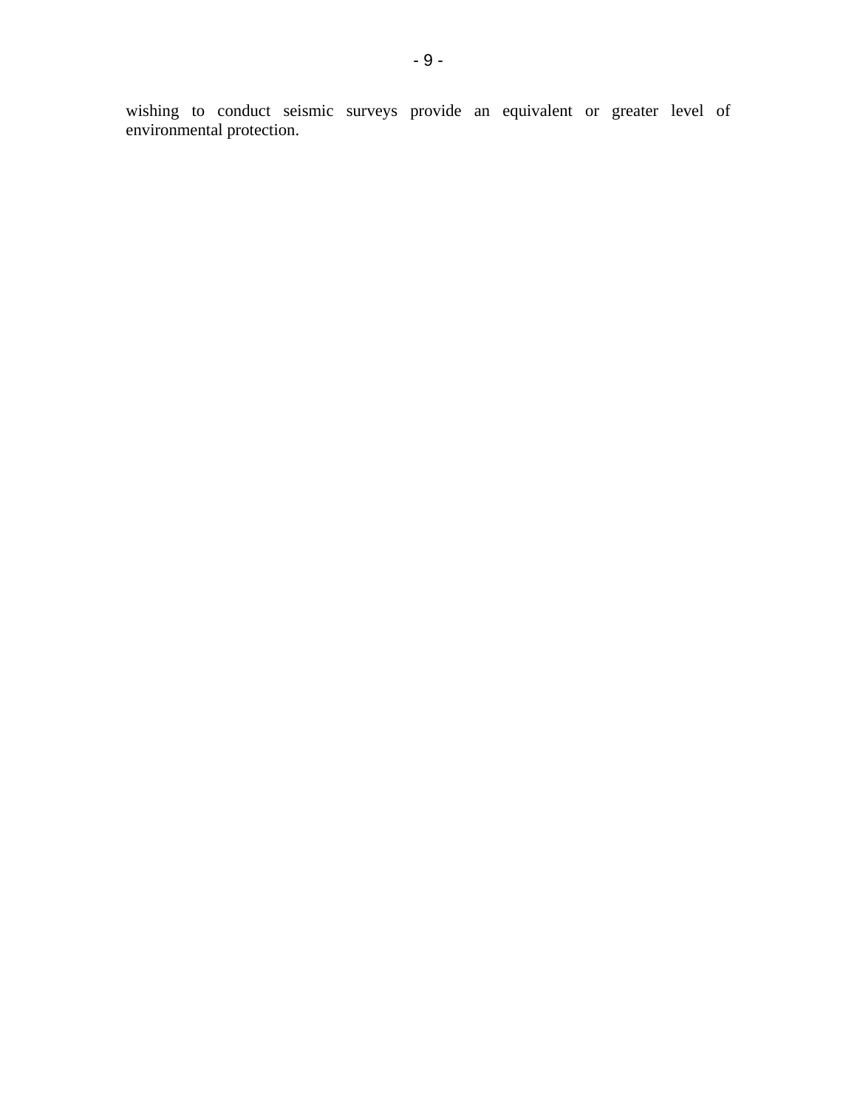wishing to conduct seismic surveys provide an equivalent or greater level of environmental protection.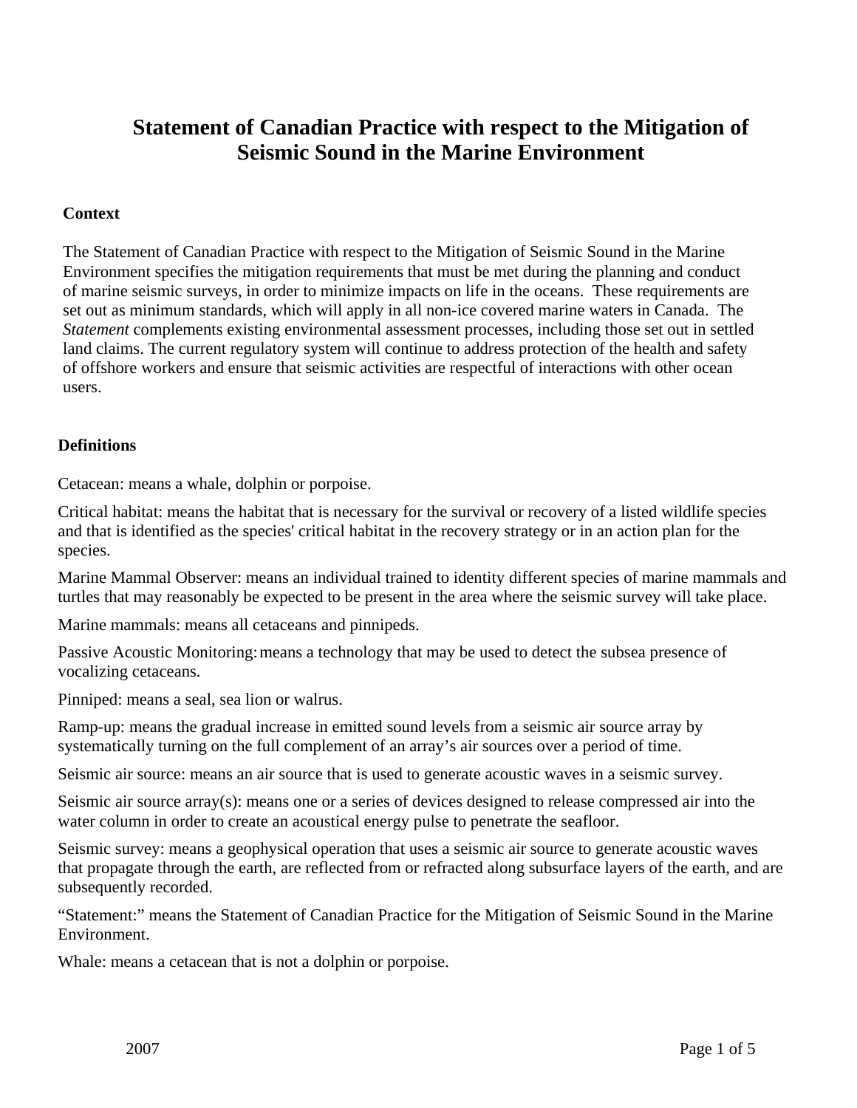## **Statement of Canadian Practice with respect to the Mitigation of Seismic Sound in the Marine Environment**

#### **Context**

The Statement of Canadian Practice with respect to the Mitigation of Seismic Sound in the Marine Environment specifies the mitigation requirements that must be met during the planning and conduct of marine seismic surveys, in order to minimize impacts on life in the oceans. These requirements are set out as minimum standards, which will apply in all non-ice covered marine waters in Canada. The *Statement* complements existing environmental assessment processes, including those set out in settled land claims. The current regulatory system will continue to address protection of the health and safety of offshore workers and ensure that seismic activities are respectful of interactions with other ocean users.

#### **Definitions**

Cetacean: means a whale, dolphin or porpoise.

Critical habitat: means the habitat that is necessary for the survival or recovery of a listed wildlife species and that is identified as the species' critical habitat in the recovery strategy or in an action plan for the species.

Marine Mammal Observer: means an individual trained to identity different species of marine mammals and turtles that may reasonably be expected to be present in the area where the seismic survey will take place.

Marine mammals: means all cetaceans and pinnipeds.

Passive Acoustic Monitoring: means a technology that may be used to detect the subsea presence of vocalizing cetaceans.

Pinniped: means a seal, sea lion or walrus.

Ramp-up: means the gradual increase in emitted sound levels from a seismic air source array by systematically turning on the full complement of an array's air sources over a period of time.

Seismic air source: means an air source that is used to generate acoustic waves in a seismic survey.

Seismic air source array(s): means one or a series of devices designed to release compressed air into the water column in order to create an acoustical energy pulse to penetrate the seafloor.

Seismic survey: means a geophysical operation that uses a seismic air source to generate acoustic waves that propagate through the earth, are reflected from or refracted along subsurface layers of the earth, and are subsequently recorded.

"Statement:" means the Statement of Canadian Practice for the Mitigation of Seismic Sound in the Marine Environment.

Whale: means a cetacean that is not a dolphin or porpoise.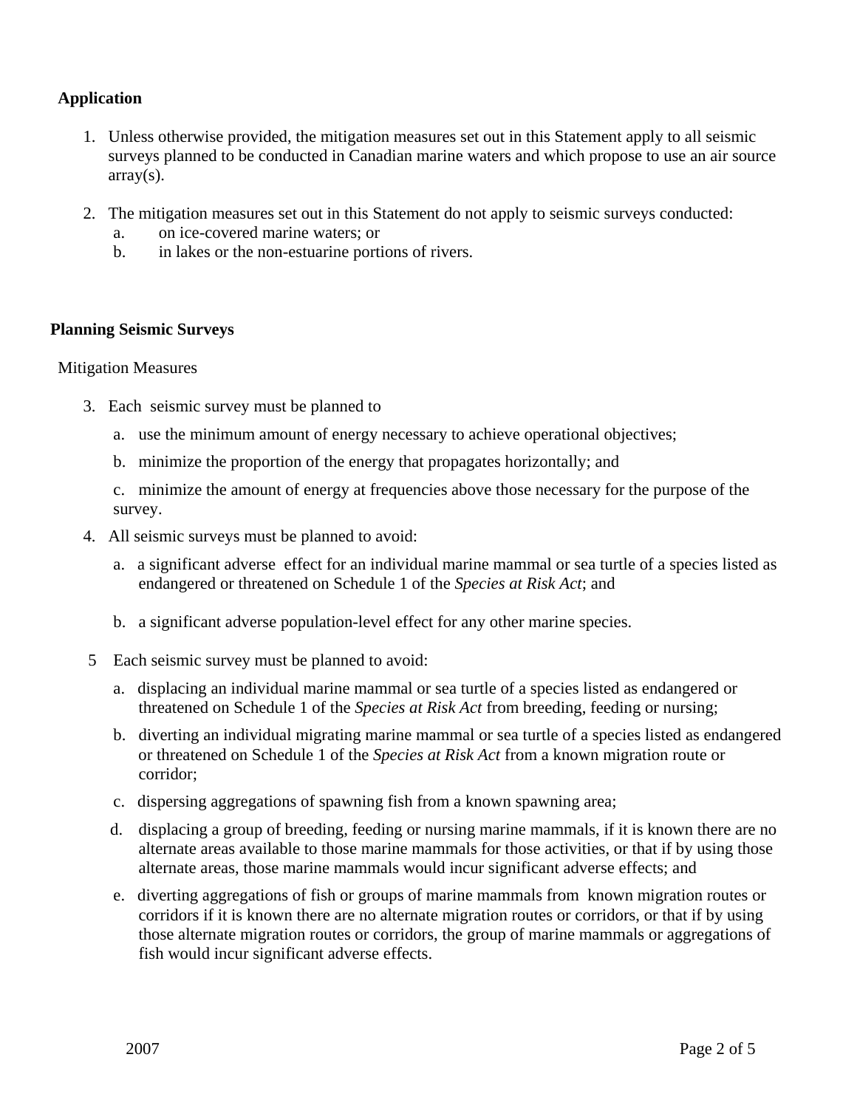#### **Application**

- 1. Unless otherwise provided, the mitigation measures set out in this Statement apply to all seismic surveys planned to be conducted in Canadian marine waters and which propose to use an air source array(s).
- 2. The mitigation measures set out in this Statement do not apply to seismic surveys conducted:
	- a. on ice-covered marine waters; or
	- b. in lakes or the non-estuarine portions of rivers.

#### **Planning Seismic Surveys**

#### Mitigation Measures

- 3. Each seismic survey must be planned to
	- a. use the minimum amount of energy necessary to achieve operational objectives;
	- b. minimize the proportion of the energy that propagates horizontally; and

c. minimize the amount of energy at frequencies above those necessary for the purpose of the survey.

- 4. All seismic surveys must be planned to avoid:
	- a. a significant adverse effect for an individual marine mammal or sea turtle of a species listed as endangered or threatened on Schedule 1 of the *Species at Risk Act*; and
	- b. a significant adverse population-level effect for any other marine species.
- 5 Each seismic survey must be planned to avoid:
	- a. displacing an individual marine mammal or sea turtle of a species listed as endangered or threatened on Schedule 1 of the *Species at Risk Act* from breeding, feeding or nursing;
	- b. diverting an individual migrating marine mammal or sea turtle of a species listed as endangered or threatened on Schedule 1 of the *Species at Risk Act* from a known migration route or corridor;
	- c. dispersing aggregations of spawning fish from a known spawning area;
	- d. displacing a group of breeding, feeding or nursing marine mammals, if it is known there are no alternate areas available to those marine mammals for those activities, or that if by using those alternate areas, those marine mammals would incur significant adverse effects; and
	- e. diverting aggregations of fish or groups of marine mammals from known migration routes or corridors if it is known there are no alternate migration routes or corridors, or that if by using those alternate migration routes or corridors, the group of marine mammals or aggregations of fish would incur significant adverse effects.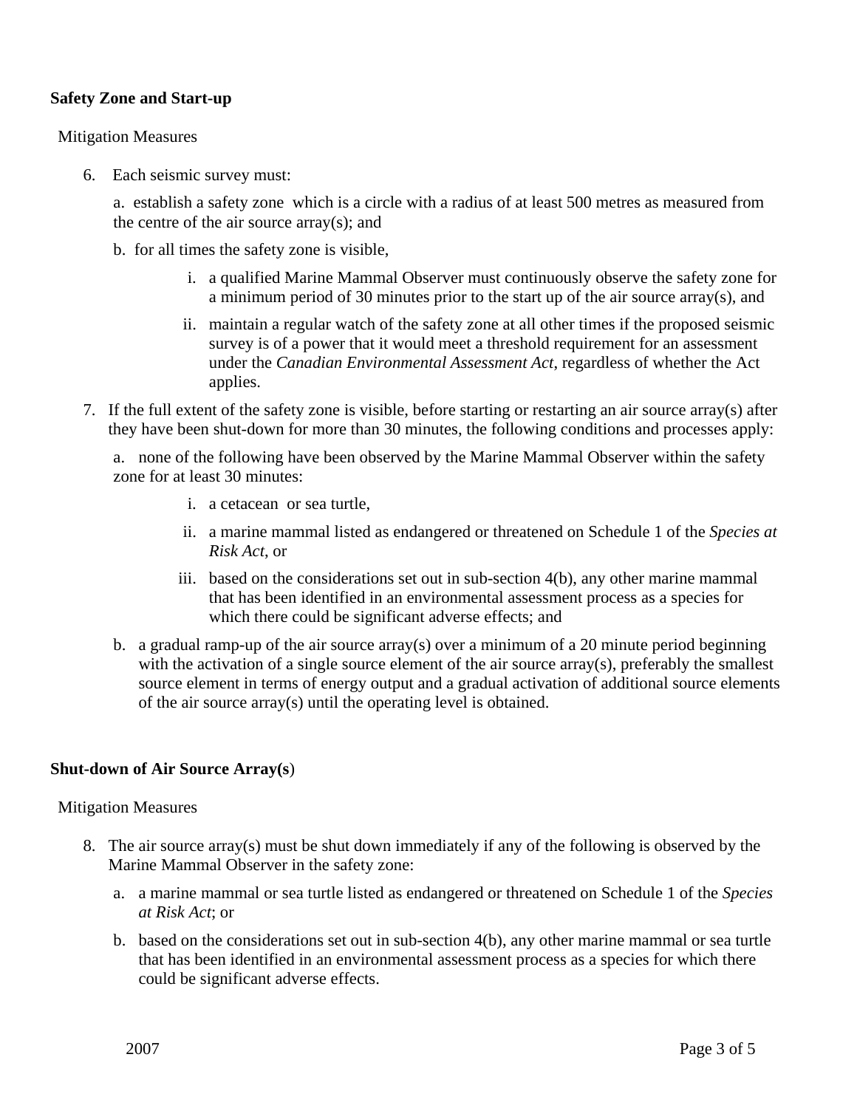#### **Safety Zone and Start-up**

#### Mitigation Measures

6. Each seismic survey must:

a. establish a safety zone which is a circle with a radius of at least 500 metres as measured from the centre of the air source array(s); and

- b. for all times the safety zone is visible,
	- i. a qualified Marine Mammal Observer must continuously observe the safety zone for a minimum period of 30 minutes prior to the start up of the air source array(s), and
	- ii. maintain a regular watch of the safety zone at all other times if the proposed seismic survey is of a power that it would meet a threshold requirement for an assessment under the *Canadian Environmental Assessment Act*, regardless of whether the Act applies.
- 7. If the full extent of the safety zone is visible, before starting or restarting an air source array(s) after they have been shut-down for more than 30 minutes, the following conditions and processes apply:

a. none of the following have been observed by the Marine Mammal Observer within the safety zone for at least 30 minutes:

- i. a cetacean or sea turtle,
- ii. a marine mammal listed as endangered or threatened on Schedule 1 of the *Species at Risk Act*, or
- iii. based on the considerations set out in sub-section 4(b), any other marine mammal that has been identified in an environmental assessment process as a species for which there could be significant adverse effects; and
- b. a gradual ramp-up of the air source array(s) over a minimum of a 20 minute period beginning with the activation of a single source element of the air source array(s), preferably the smallest source element in terms of energy output and a gradual activation of additional source elements of the air source array(s) until the operating level is obtained.

#### **Shut-down of Air Source Array(s**)

#### Mitigation Measures

- 8. The air source array(s) must be shut down immediately if any of the following is observed by the Marine Mammal Observer in the safety zone:
	- a. a marine mammal or sea turtle listed as endangered or threatened on Schedule 1 of the *Species at Risk Act*; or
	- b. based on the considerations set out in sub-section 4(b), any other marine mammal or sea turtle that has been identified in an environmental assessment process as a species for which there could be significant adverse effects.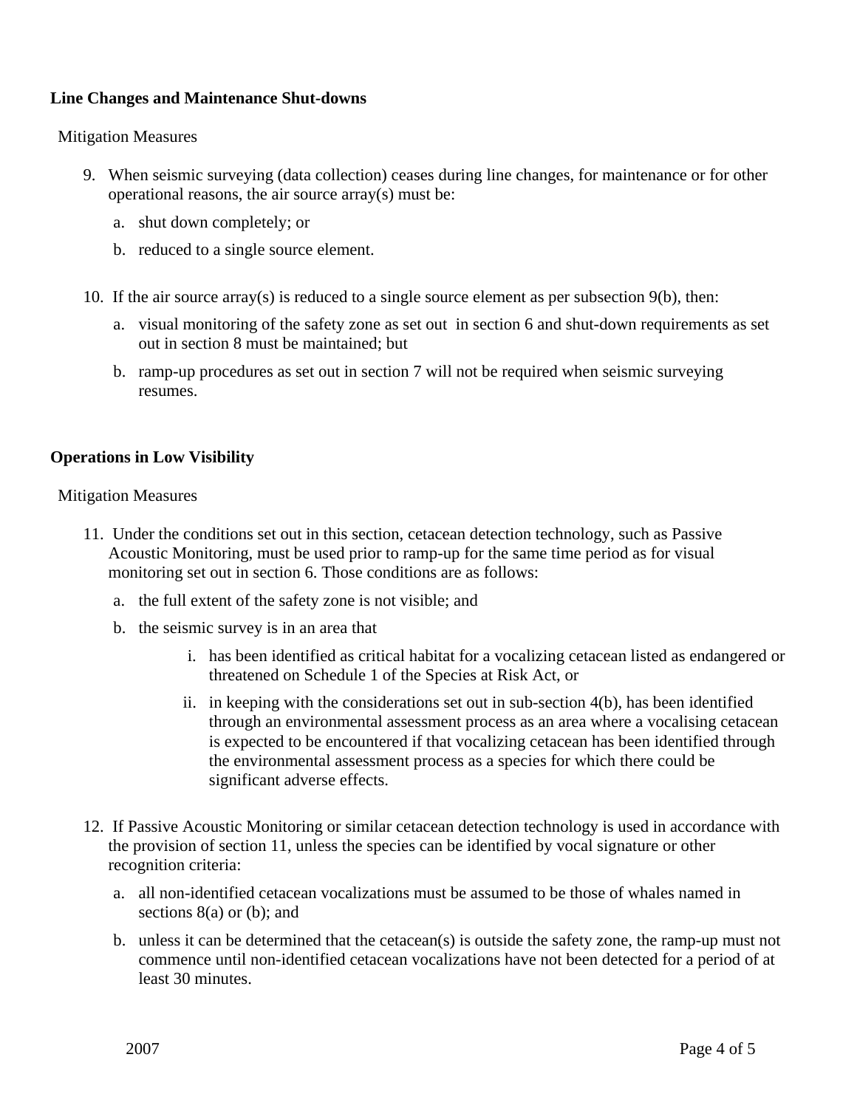#### **Line Changes and Maintenance Shut-downs**

#### Mitigation Measures

- 9. When seismic surveying (data collection) ceases during line changes, for maintenance or for other operational reasons, the air source array(s) must be:
	- a. shut down completely; or
	- b. reduced to a single source element.
- 10. If the air source array(s) is reduced to a single source element as per subsection 9(b), then:
	- a. visual monitoring of the safety zone as set out in section 6 and shut-down requirements as set out in section 8 must be maintained; but
	- b. ramp-up procedures as set out in section 7 will not be required when seismic surveying resumes.

#### **Operations in Low Visibility**

Mitigation Measures

- 11. Under the conditions set out in this section, cetacean detection technology, such as Passive Acoustic Monitoring, must be used prior to ramp-up for the same time period as for visual monitoring set out in section 6. Those conditions are as follows:
	- a. the full extent of the safety zone is not visible; and
	- b. the seismic survey is in an area that
		- i. has been identified as critical habitat for a vocalizing cetacean listed as endangered or threatened on Schedule 1 of the Species at Risk Act, or
		- ii. in keeping with the considerations set out in sub-section 4(b), has been identified through an environmental assessment process as an area where a vocalising cetacean is expected to be encountered if that vocalizing cetacean has been identified through the environmental assessment process as a species for which there could be significant adverse effects.
- 12. If Passive Acoustic Monitoring or similar cetacean detection technology is used in accordance with the provision of section 11, unless the species can be identified by vocal signature or other recognition criteria:
	- a. all non-identified cetacean vocalizations must be assumed to be those of whales named in sections  $8(a)$  or (b); and
	- b. unless it can be determined that the cetacean(s) is outside the safety zone, the ramp-up must not commence until non-identified cetacean vocalizations have not been detected for a period of at least 30 minutes.